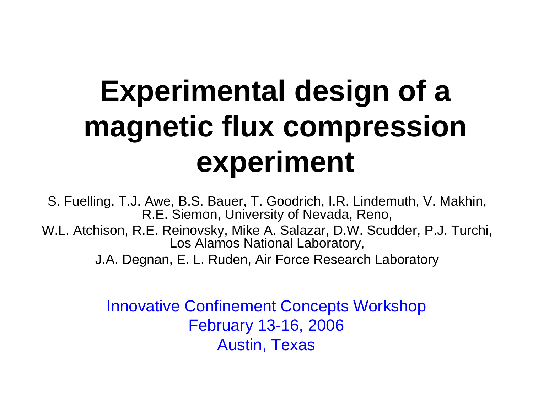# **Experimental design of a magnetic flux compression experiment**

S. Fuelling, T.J. Awe, B.S. Bauer, T. Goodrich, I.R. Lindemuth, V. Makhin, R.E. Siemon, University of Nevada, Reno,

W.L. Atchison, R.E. Reinovsky, Mike A. Salazar, D.W. Scudder, P.J. Turchi, Los Alamos National Laboratory,

J.A. Degnan, E. L. Ruden, Air Force Research Laboratory

Innovative Confinement Concepts Workshop February 13-16, 2006 Austin, Texas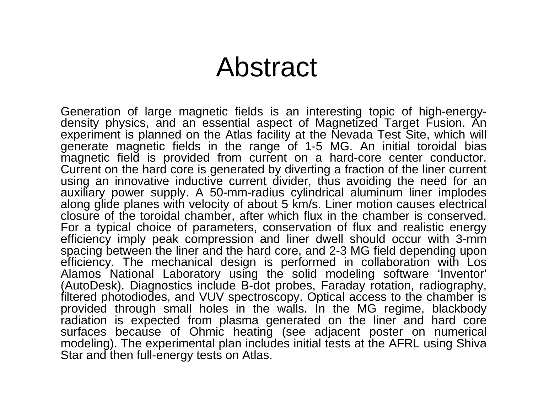#### Abstract

Generation of large magnetic fields is an interesting topic of high-energydensity physics, and an essential aspect of Magnetized Target Fusion. An experiment is planned on the Atlas facility at the Nevada Test Site, which will generate magnetic fields in the range of 1-5 MG. An initial toroidal bias magnetic field is provided from current on a hard-core center conductor. Current on the hard core is generated by diverting a fraction of the liner current using an innovative inductive current divider, thus avoiding the need for an auxiliary power supply. A 50-mm-radius cylindrical aluminum liner implodes along glide planes with velocity of about 5 km/s. Liner motion causes electrical closure of the toroidal chamber, after which flux in the chamber is conserved. For a typical choice of parameters, conservation of flux and realistic energy efficiency imply peak compression and liner dwell should occur with 3-mm spacing between the liner and the hard core, and 2-3 MG field depending upon efficiency. The mechanical design is performed in collaboration with Los Alamos National Laboratory using the solid modeling software 'Inventor' (AutoDesk). Diagnostics include B-dot probes, Faraday rotation, radiography, filtered photodiodes, and VUV spectroscopy. Optical access to the chamber is provided through small holes in the walls. In the MG regime, blackbody radiation is expected from plasma generated on the liner and hard core surfaces because of Ohmic heating (see adjacent poster on numerical modeling). The experimental plan includes initial tests at the AFRL using Shiva Star and then full-energy tests on Atlas.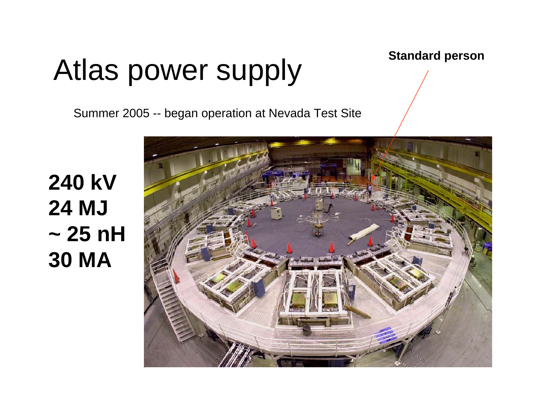# Atlas power supply standard person

Summer 2005 -- began operation at Nevada Test Site

**240 kV24 MJ~ 25 nH30 MA**

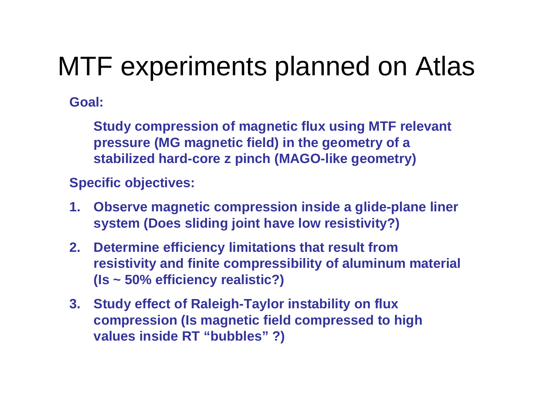### MTF experiments planned on Atlas

**Goal:**

**Study compression of magnetic flux using MTF relevant pressure (MG magnetic field) in the geometry of a stabilized hard-core z pinch (MAGO-like geometry)**

**Specific objectives:**

- **1. Observe magnetic compression inside a glide-plane liner system (Does sliding joint have low resistivity?)**
- **2. Determine efficiency limitations that result from resistivity and finite compressibility of aluminum material (Is ~ 50% efficiency realistic?)**
- **3. Study effect of Raleigh-Taylor instability on flux compression (Is magnetic field compressed to high values inside RT "bubbles" ?)**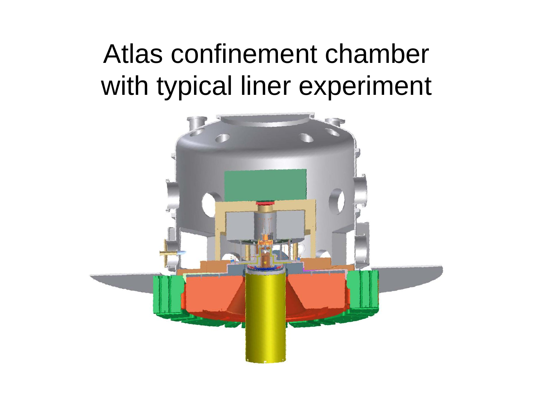## Atlas confinement chamber with typical liner experiment

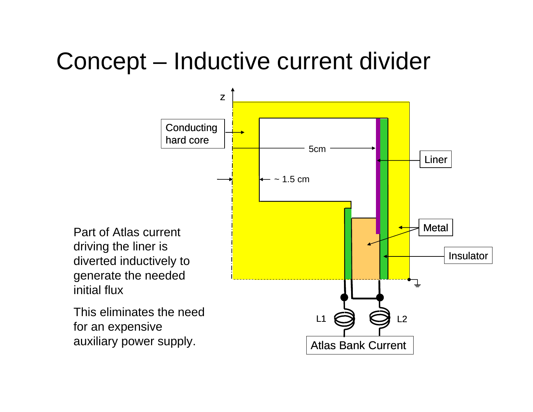#### Concept – Inductive current divider

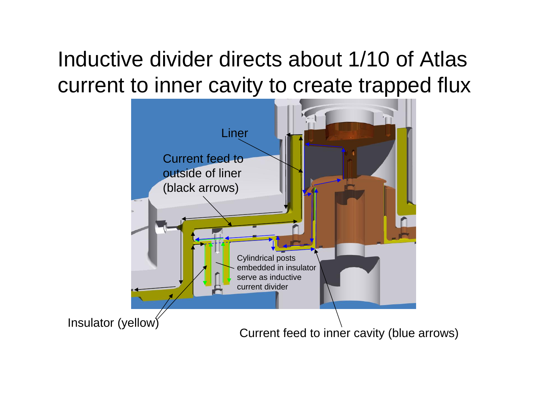#### Inductive divider directs about 1/10 of Atlas current to inner cavity to create trapped flux

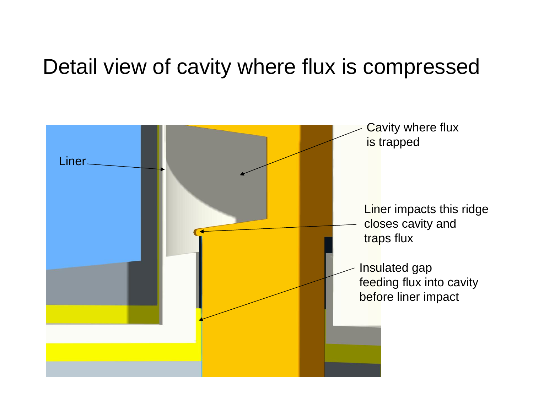#### Detail view of cavity where flux is compressed

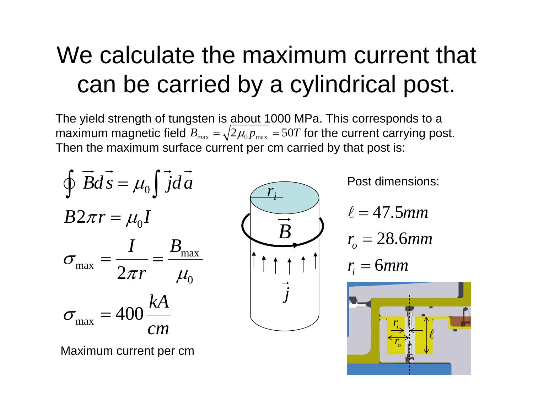#### We calculate the maximum current that can be carried by a cylindrical post.

The yield strength of tungsten is about 1000 MPa. This corresponds to a maximum magnetic field  $B_{\max} = \surd 2 \mu_{\rm{0}} p_{\max} = 50 T$  for the current carrying post. Then the maximum surface current per cm carried by that post is:



Maximum current per cm



Post dimensions:

 $\ell=47.5$ mm

$$
r_{o}=28.6mm
$$

$$
r_i = 6mm
$$

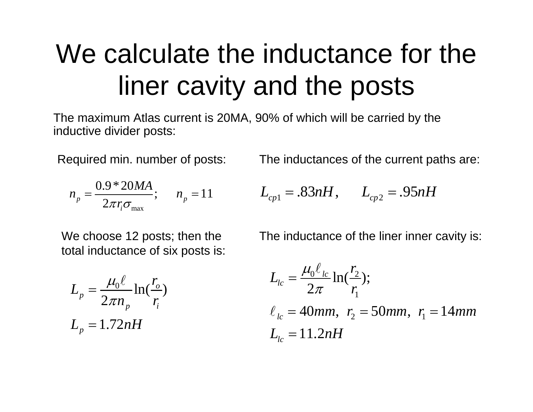## We calculate the inductance for the liner cavity and the posts

The maximum Atlas current is 20MA, 90% of which will be carried by the inductive divider posts:

Required min. number of posts:

$$
n_p = \frac{0.9 * 20MA}{2\pi r_i \sigma_{\text{max}}}; \quad n_p = 11
$$

The inductances of the current paths are:

$$
L_{cp1} = .83nH, \qquad L_{cp2} = .95nH
$$

We choose 12 posts; then the total inductance of six posts is:

$$
L_p = \frac{\mu_0 \ell}{2\pi n_p} \ln(\frac{r_o}{r_i})
$$
  

$$
L_p = 1.72nH
$$

The inductance of the liner inner cavity is:

$$
L_{lc} = \frac{\mu_0 \ell_{lc}}{2\pi} \ln(\frac{r_2}{r_1});
$$
  
\n
$$
\ell_{lc} = 40mm, r_2 = 50mm, r_1 = 14mm
$$
  
\n
$$
L_{lc} = 11.2nH
$$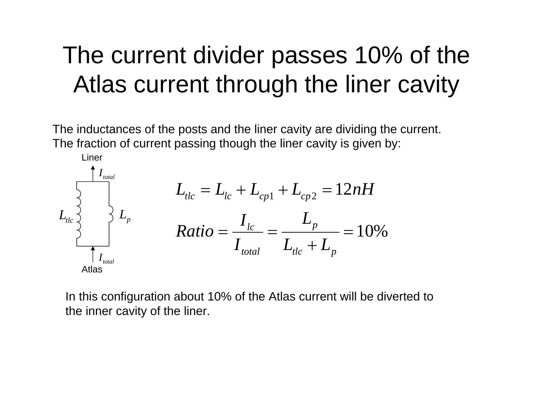#### The current divider passes 10% of the Atlas current through the liner cavity

The inductances of the posts and the liner cavity are dividing the current. The fraction of current passing though the liner cavity is given by:



In this configuration about 10% of the Atlas current will be diverted to the inner cavity of the liner.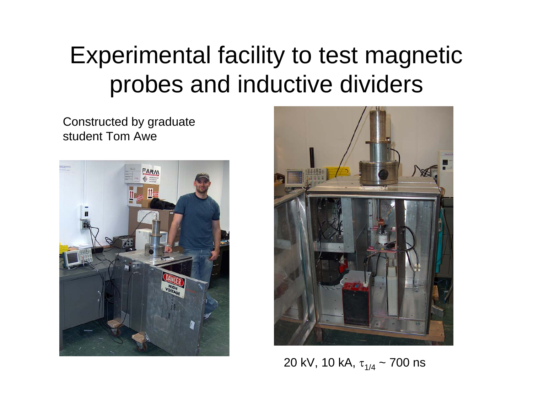#### Experimental facility to test magnetic probes and inductive dividers

Constructed by graduate student Tom Awe





20 kV, 10 kA, τ<sub>1/4</sub> ~ 700 ns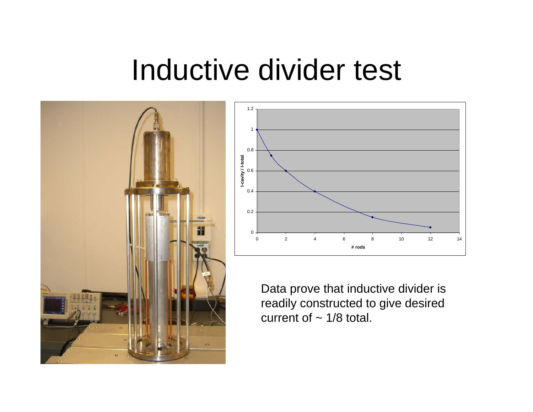## Inductive divider test





Data prove that inductive divider is readily constructed to give desired current of  $\sim$  1/8 total.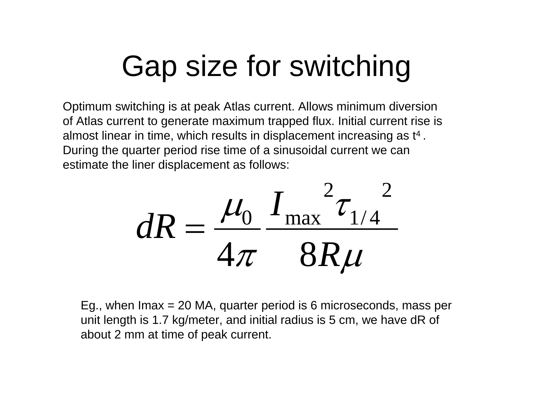## Gap size for switching

Optimum switching is at peak Atlas current. Allows minimum diversion of Atlas current to generate maximum trapped flux. Initial current rise is almost linear in time, which results in displacement increasing as t4 . During the quarter period rise time of a sinusoidal current we can estimate the liner displacement as follows:

$$
dR = \frac{\mu_0}{4\pi} \frac{I_{\text{max}}^2 \tau_{1/4}^2}{8R\mu}
$$

Eg., when Imax = 20 MA, quarter period is 6 microseconds, mass per unit length is 1.7 kg/meter, and initial radius is 5 cm, we have dR of about 2 mm at time of peak current.